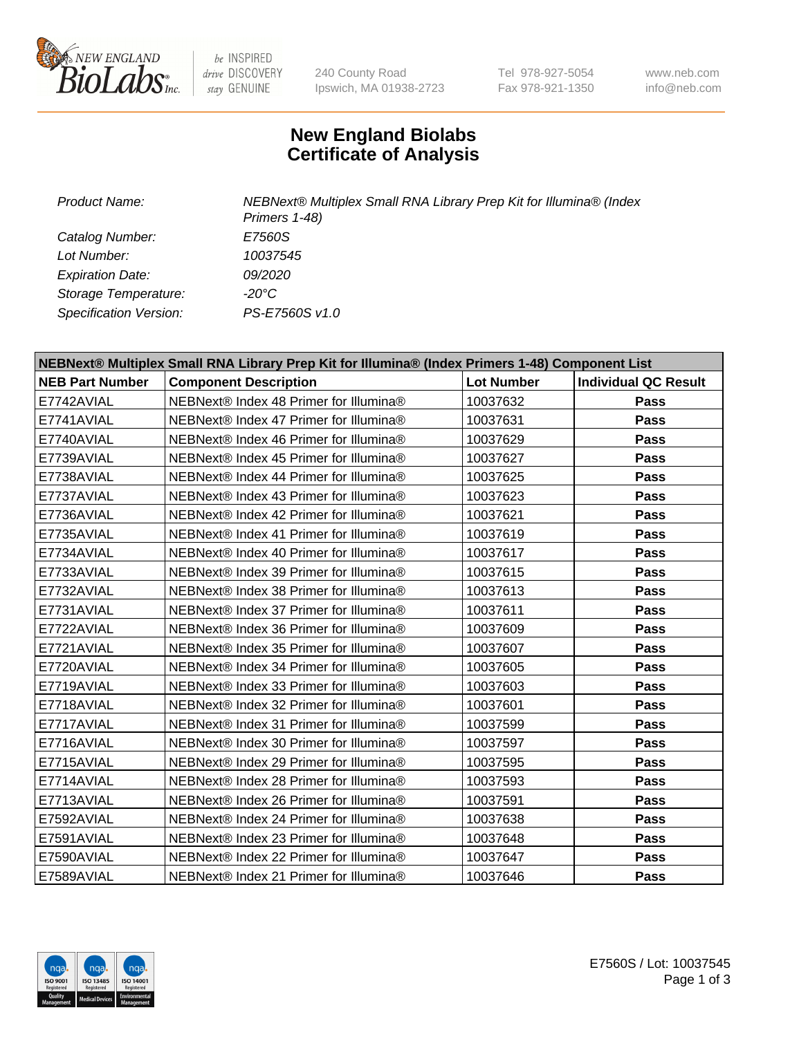

 $be$  INSPIRED drive DISCOVERY stay GENUINE

240 County Road Ipswich, MA 01938-2723 Tel 978-927-5054 Fax 978-921-1350 www.neb.com info@neb.com

## **New England Biolabs Certificate of Analysis**

| <b>Product Name:</b>    | NEBNext® Multiplex Small RNA Library Prep Kit for Illumina® (Index<br>Primers 1-48) |
|-------------------------|-------------------------------------------------------------------------------------|
| Catalog Number:         | <i>E7560S</i>                                                                       |
| Lot Number:             | 10037545                                                                            |
| <b>Expiration Date:</b> | <i>09/2020</i>                                                                      |
| Storage Temperature:    | -20°C                                                                               |
| Specification Version:  | PS-E7560S v1.0                                                                      |

| NEBNext® Multiplex Small RNA Library Prep Kit for Illumina® (Index Primers 1-48) Component List |                                        |                   |                             |
|-------------------------------------------------------------------------------------------------|----------------------------------------|-------------------|-----------------------------|
| <b>NEB Part Number</b>                                                                          | <b>Component Description</b>           | <b>Lot Number</b> | <b>Individual QC Result</b> |
| E7742AVIAL                                                                                      | NEBNext® Index 48 Primer for Illumina® | 10037632          | <b>Pass</b>                 |
| E7741AVIAL                                                                                      | NEBNext® Index 47 Primer for Illumina® | 10037631          | <b>Pass</b>                 |
| E7740AVIAL                                                                                      | NEBNext® Index 46 Primer for Illumina® | 10037629          | <b>Pass</b>                 |
| E7739AVIAL                                                                                      | NEBNext® Index 45 Primer for Illumina® | 10037627          | <b>Pass</b>                 |
| E7738AVIAL                                                                                      | NEBNext® Index 44 Primer for Illumina® | 10037625          | <b>Pass</b>                 |
| E7737AVIAL                                                                                      | NEBNext® Index 43 Primer for Illumina® | 10037623          | Pass                        |
| E7736AVIAL                                                                                      | NEBNext® Index 42 Primer for Illumina® | 10037621          | Pass                        |
| E7735AVIAL                                                                                      | NEBNext® Index 41 Primer for Illumina® | 10037619          | <b>Pass</b>                 |
| E7734AVIAL                                                                                      | NEBNext® Index 40 Primer for Illumina® | 10037617          | Pass                        |
| E7733AVIAL                                                                                      | NEBNext® Index 39 Primer for Illumina® | 10037615          | Pass                        |
| E7732AVIAL                                                                                      | NEBNext® Index 38 Primer for Illumina® | 10037613          | <b>Pass</b>                 |
| E7731AVIAL                                                                                      | NEBNext® Index 37 Primer for Illumina® | 10037611          | <b>Pass</b>                 |
| E7722AVIAL                                                                                      | NEBNext® Index 36 Primer for Illumina® | 10037609          | Pass                        |
| E7721AVIAL                                                                                      | NEBNext® Index 35 Primer for Illumina® | 10037607          | Pass                        |
| E7720AVIAL                                                                                      | NEBNext® Index 34 Primer for Illumina® | 10037605          | Pass                        |
| E7719AVIAL                                                                                      | NEBNext® Index 33 Primer for Illumina® | 10037603          | Pass                        |
| E7718AVIAL                                                                                      | NEBNext® Index 32 Primer for Illumina® | 10037601          | <b>Pass</b>                 |
| E7717AVIAL                                                                                      | NEBNext® Index 31 Primer for Illumina® | 10037599          | Pass                        |
| E7716AVIAL                                                                                      | NEBNext® Index 30 Primer for Illumina® | 10037597          | Pass                        |
| E7715AVIAL                                                                                      | NEBNext® Index 29 Primer for Illumina® | 10037595          | <b>Pass</b>                 |
| E7714AVIAL                                                                                      | NEBNext® Index 28 Primer for Illumina® | 10037593          | <b>Pass</b>                 |
| E7713AVIAL                                                                                      | NEBNext® Index 26 Primer for Illumina® | 10037591          | Pass                        |
| E7592AVIAL                                                                                      | NEBNext® Index 24 Primer for Illumina® | 10037638          | <b>Pass</b>                 |
| E7591AVIAL                                                                                      | NEBNext® Index 23 Primer for Illumina® | 10037648          | Pass                        |
| E7590AVIAL                                                                                      | NEBNext® Index 22 Primer for Illumina® | 10037647          | Pass                        |
| E7589AVIAL                                                                                      | NEBNext® Index 21 Primer for Illumina® | 10037646          | <b>Pass</b>                 |

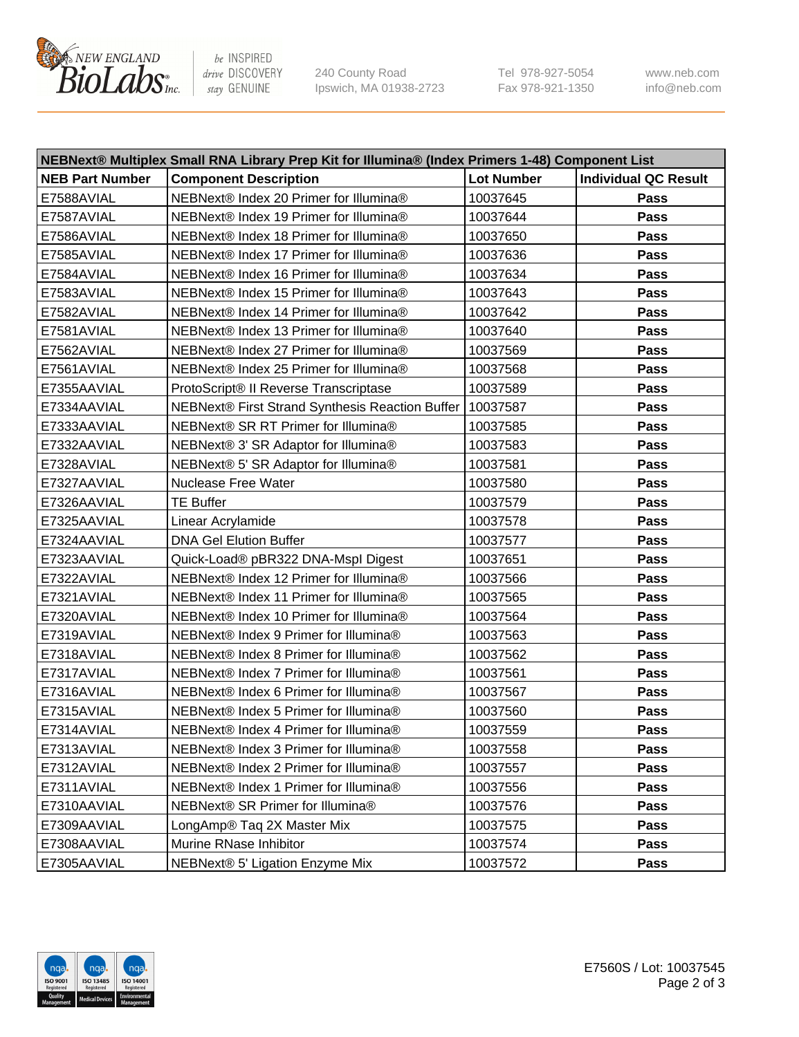

be INSPIRED drive DISCOVERY stay GENUINE

240 County Road Ipswich, MA 01938-2723 Tel 978-927-5054 Fax 978-921-1350 www.neb.com info@neb.com

| NEBNext® Multiplex Small RNA Library Prep Kit for Illumina® (Index Primers 1-48) Component List |                                                            |                   |                             |  |
|-------------------------------------------------------------------------------------------------|------------------------------------------------------------|-------------------|-----------------------------|--|
| <b>NEB Part Number</b>                                                                          | <b>Component Description</b>                               | <b>Lot Number</b> | <b>Individual QC Result</b> |  |
| E7588AVIAL                                                                                      | NEBNext® Index 20 Primer for Illumina®                     | 10037645          | Pass                        |  |
| E7587AVIAL                                                                                      | NEBNext® Index 19 Primer for Illumina®                     | 10037644          | Pass                        |  |
| E7586AVIAL                                                                                      | NEBNext® Index 18 Primer for Illumina®                     | 10037650          | Pass                        |  |
| E7585AVIAL                                                                                      | NEBNext® Index 17 Primer for Illumina®                     | 10037636          | Pass                        |  |
| E7584AVIAL                                                                                      | NEBNext® Index 16 Primer for Illumina®                     | 10037634          | Pass                        |  |
| E7583AVIAL                                                                                      | NEBNext® Index 15 Primer for Illumina®                     | 10037643          | Pass                        |  |
| E7582AVIAL                                                                                      | NEBNext® Index 14 Primer for Illumina®                     | 10037642          | Pass                        |  |
| E7581AVIAL                                                                                      | NEBNext® Index 13 Primer for Illumina®                     | 10037640          | Pass                        |  |
| E7562AVIAL                                                                                      | NEBNext® Index 27 Primer for Illumina®                     | 10037569          | Pass                        |  |
| E7561AVIAL                                                                                      | NEBNext® Index 25 Primer for Illumina®                     | 10037568          | Pass                        |  |
| E7355AAVIAL                                                                                     | ProtoScript® II Reverse Transcriptase                      | 10037589          | Pass                        |  |
| E7334AAVIAL                                                                                     | NEBNext® First Strand Synthesis Reaction Buffer   10037587 |                   | Pass                        |  |
| E7333AAVIAL                                                                                     | NEBNext® SR RT Primer for Illumina®                        | 10037585          | Pass                        |  |
| E7332AAVIAL                                                                                     | NEBNext® 3' SR Adaptor for Illumina®                       | 10037583          | Pass                        |  |
| E7328AVIAL                                                                                      | NEBNext® 5' SR Adaptor for Illumina®                       | 10037581          | Pass                        |  |
| E7327AAVIAL                                                                                     | <b>Nuclease Free Water</b>                                 | 10037580          | Pass                        |  |
| E7326AAVIAL                                                                                     | <b>TE Buffer</b>                                           | 10037579          | Pass                        |  |
| E7325AAVIAL                                                                                     | Linear Acrylamide                                          | 10037578          | Pass                        |  |
| E7324AAVIAL                                                                                     | <b>DNA Gel Elution Buffer</b>                              | 10037577          | Pass                        |  |
| E7323AAVIAL                                                                                     | Quick-Load® pBR322 DNA-Mspl Digest                         | 10037651          | Pass                        |  |
| E7322AVIAL                                                                                      | NEBNext® Index 12 Primer for Illumina®                     | 10037566          | Pass                        |  |
| E7321AVIAL                                                                                      | NEBNext® Index 11 Primer for Illumina®                     | 10037565          | Pass                        |  |
| E7320AVIAL                                                                                      | NEBNext® Index 10 Primer for Illumina®                     | 10037564          | Pass                        |  |
| E7319AVIAL                                                                                      | NEBNext® Index 9 Primer for Illumina®                      | 10037563          | Pass                        |  |
| E7318AVIAL                                                                                      | NEBNext® Index 8 Primer for Illumina®                      | 10037562          | Pass                        |  |
| E7317AVIAL                                                                                      | NEBNext® Index 7 Primer for Illumina®                      | 10037561          | Pass                        |  |
| E7316AVIAL                                                                                      | NEBNext® Index 6 Primer for Illumina®                      | 10037567          | Pass                        |  |
| E7315AVIAL                                                                                      | NEBNext® Index 5 Primer for Illumina®                      | 10037560          | Pass                        |  |
| E7314AVIAL                                                                                      | NEBNext® Index 4 Primer for Illumina®                      | 10037559          | Pass                        |  |
| E7313AVIAL                                                                                      | NEBNext® Index 3 Primer for Illumina®                      | 10037558          | <b>Pass</b>                 |  |
| E7312AVIAL                                                                                      | NEBNext® Index 2 Primer for Illumina®                      | 10037557          | Pass                        |  |
| E7311AVIAL                                                                                      | NEBNext® Index 1 Primer for Illumina®                      | 10037556          | Pass                        |  |
| E7310AAVIAL                                                                                     | NEBNext® SR Primer for Illumina®                           | 10037576          | Pass                        |  |
| E7309AAVIAL                                                                                     | LongAmp® Taq 2X Master Mix                                 | 10037575          | Pass                        |  |
| E7308AAVIAL                                                                                     | Murine RNase Inhibitor                                     | 10037574          | Pass                        |  |
| E7305AAVIAL                                                                                     | NEBNext® 5' Ligation Enzyme Mix                            | 10037572          | Pass                        |  |